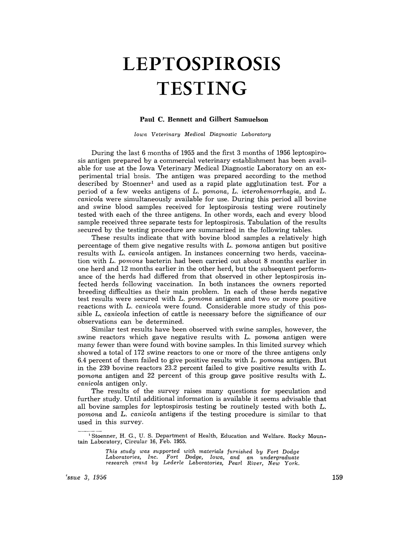## **LEPTOSPIROSIS TESTING**

## **Paul C. Bennett and Gilbert Samuelson**

*Iown Veterinary Medical Diagnostic Laboratory* 

During the last 6 months of 1955 and the first 3 months of 1956 leptospirosis antigen prepared by a commercial veterinary establishment has been available for use at the Iowa Veterinary Medical Diagnostic Laboratory on an experimental trial basis. The antigen was prepared according to the method described by Stoenner<sup>1</sup> and used as a rapid plate agglutination test. For a period of a few weeks antigens of L. *pomona,* L. *icterohemorrhagia,* and L. *canicola* were simultaneously available for use. During this period all bovine and swine blood samples received for leptospirosis testing were routinely tested with each of the three antigens. In other words, each and every blood sample received three separate tests for leptospirosis. Tabulation of the results secured by the testing procedure are summarized in the following tables.

These results indicate that with bovine blood samples a relatively high percentage of them give negative results with L. *pomona* antigen but positive results with L. *canicola* antigen. In instances concerning two herds, vaccination with L. *pomons* bacterin had been carried out about 8 months earlier in one herd and 12 months earlier in the other herd, but the subsequent performance of the herds had differed from that observed in other leptospirosis infected herds following vaccination. In both instances the owners reported breeding difficulties as their main problem. In each of these herds negative test results were secured with L. *pomona* antigent and two or more positive reactions with L. *canicola* were found. Considerable more study of this possible L. *canicola* infection of cattle is necessary before the significance of our observations can be determined.

Similar test results have been observed with swine samples, however, the swine reactors which gave negative results with L. *pomona* antigen were many fewer than were found with bovine samples. In this limited survey which showed a total of 172 swine reactors to one or more of the three antigens only 6.4 percent of them failed to give positive results with L. *pomona* antigen. But in the 239 bovine reactors 23.2 percent failed to give positive results with L. *pomona* antigen and 22 percent of this group gave positive results with L. *canicola* antigen only.

The results of the survey raises many questions for speculation and further study. Until additional information is available it seems advisable that all bovine samples for leptospirosis testing be routinely tested with both L. *pomona* and L. *canicola* antigens if the testing procedure is similar to that used in this survey.

*This study was supported with materials furnished by Fort Dodge Laboratories, Inc. Fort Dodge, Iowa, and an undergraduate research (!rant by Lederle Laboratories, Pearl River, New York.* 

<sup>1</sup> Stoenner, H. G., U. S. Department of Health, Education and Welfare. Rocky Mountain Laboratory, Circular 16, Feb. 1955.